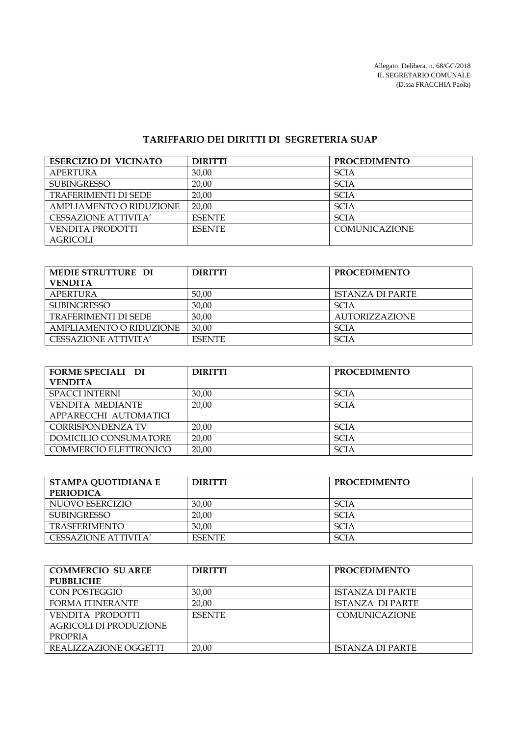Allegato Delibera. n. 68/GC/2018 IL SEGRETARIO COMUNALE (D.ssa FRACCHIA Paola)

## **TARIFFARIO DEI DIRITTI DI SEGRETERIA SUAP**

| <b>ESERCIZIO DI VICINATO</b>   | <b>DIRITTI</b> | <b>PROCEDIMENTO</b>  |
|--------------------------------|----------------|----------------------|
| <b>APERTURA</b>                | 30,00          | <b>SCIA</b>          |
| <b>SUBINGRESSO</b>             | 20.00          | <b>SCIA</b>          |
| <b>TRAFERIMENTI DI SEDE</b>    | 20,00          | <b>SCIA</b>          |
| <b>AMPLIAMENTO O RIDUZIONE</b> | 20.00          | <b>SCIA</b>          |
| CESSAZIONE ATTIVITA'           | <b>ESENTE</b>  | <b>SCIA</b>          |
| VENDITA PRODOTTI               | <b>ESENTE</b>  | <b>COMUNICAZIONE</b> |
| <b>AGRICOLI</b>                |                |                      |

| MEDIE STRUTTURE DI          | <b>DIRITTI</b> | <b>PROCEDIMENTO</b>   |
|-----------------------------|----------------|-----------------------|
| <b>VENDITA</b>              |                |                       |
| APERTURA                    | 50.00          | ISTANZA DI PARTE      |
| <b>SUBINGRESSO</b>          | 30,00          | <b>SCIA</b>           |
| <b>TRAFERIMENTI DI SEDE</b> | 30,00          | <b>AUTORIZZAZIONE</b> |
| AMPLIAMENTO O RIDUZIONE     | 30.00          | SCIA                  |
| CESSAZIONE ATTIVITA'        | <b>ESENTE</b>  | <b>SCIA</b>           |

| <b>FORME SPECIALI DI</b> | <b>DIRITTI</b> | <b>PROCEDIMENTO</b> |
|--------------------------|----------------|---------------------|
| <b>VENDITA</b>           |                |                     |
| <b>SPACCI INTERNI</b>    | 30,00          | <b>SCIA</b>         |
| <b>VENDITA MEDIANTE</b>  | 20.00          | <b>SCIA</b>         |
| APPARECCHI AUTOMATICI    |                |                     |
| <b>CORRISPONDENZA TV</b> | 20.00          | <b>SCIA</b>         |
| DOMICILIO CONSUMATORE    | 20,00          | <b>SCIA</b>         |
| COMMERCIO ELETTRONICO    | 20.00          | <b>SCIA</b>         |

| STAMPA QUOTIDIANA E<br><b>PERIODICA</b> | <b>DIRITTI</b> | <b>PROCEDIMENTO</b> |
|-----------------------------------------|----------------|---------------------|
| NUOVO ESERCIZIO                         | 30,00          | <b>SCIA</b>         |
| <b>SUBINGRESSO</b>                      | 20.00          | <b>SCIA</b>         |
| <b>TRASFERIMENTO</b>                    | 30.00          | <b>SCIA</b>         |
| CESSAZIONE ATTIVITA'                    | <b>FSENTE</b>  | <b>SCIA</b>         |

| <b>COMMERCIO SU AREE</b> | <b>DIRITTI</b> | <b>PROCEDIMENTO</b>     |
|--------------------------|----------------|-------------------------|
| <b>PUBBLICHE</b>         |                |                         |
| CON POSTEGGIO            | 30,00          | <b>ISTANZA DI PARTE</b> |
| <b>FORMA ITINERANTE</b>  | 20.00          | <b>ISTANZA DI PARTE</b> |
| VENDITA PRODOTTI         | <b>ESENTE</b>  | <b>COMUNICAZIONE</b>    |
| AGRICOLI DI PRODUZIONE   |                |                         |
| <b>PROPRIA</b>           |                |                         |
| REALIZZAZIONE OGGETTI    | 20,00          | <b>ISTANZA DI PARTE</b> |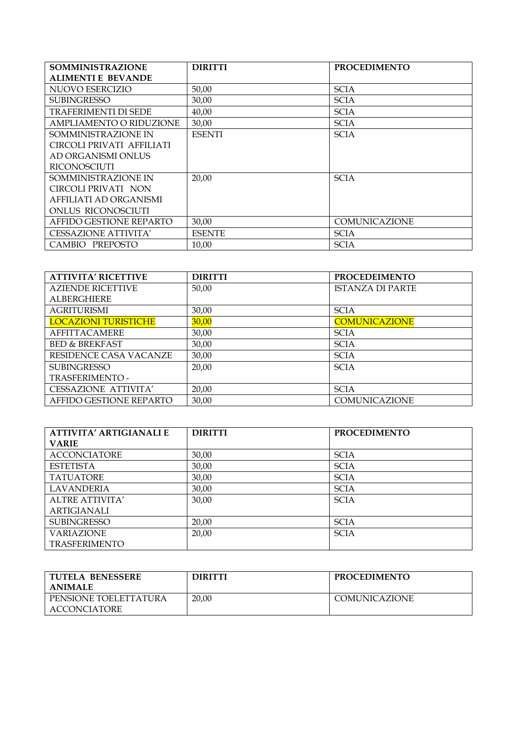| <b>SOMMINISTRAZIONE</b>     | <b>DIRITTI</b> | <b>PROCEDIMENTO</b> |
|-----------------------------|----------------|---------------------|
| <b>ALIMENTI E BEVANDE</b>   |                |                     |
| NUOVO ESERCIZIO             | 50,00          | <b>SCIA</b>         |
| <b>SUBINGRESSO</b>          | 30,00          | <b>SCIA</b>         |
| TRAFERIMENTI DI SEDE        | 40,00          | <b>SCIA</b>         |
| AMPLIAMENTO O RIDUZIONE     | 30,00          | <b>SCIA</b>         |
| SOMMINISTRAZIONE IN         | <b>ESENTI</b>  | <b>SCIA</b>         |
| CIRCOLI PRIVATI AFFILIATI   |                |                     |
| AD ORGANISMI ONLUS          |                |                     |
| <b>RICONOSCIUTI</b>         |                |                     |
| SOMMINISTRAZIONE IN         | 20,00          | <b>SCIA</b>         |
| CIRCOLI PRIVATI NON         |                |                     |
| AFFILIATI AD ORGANISMI      |                |                     |
| ONLUS RICONOSCIUTI          |                |                     |
| AFFIDO GESTIONE REPARTO     | 30,00          | COMUNICAZIONE       |
| <b>CESSAZIONE ATTIVITA'</b> | <b>ESENTE</b>  | <b>SCIA</b>         |
| CAMBIO PREPOSTO             | 10,00          | <b>SCIA</b>         |

| <b>ATTIVITA' RICETTIVE</b>  | <b>DIRITTI</b> | <b>PROCEDEIMENTO</b>    |
|-----------------------------|----------------|-------------------------|
| <b>AZIENDE RICETTIVE</b>    | 50,00          | <b>ISTANZA DI PARTE</b> |
| <b>ALBERGHIERE</b>          |                |                         |
| <b>AGRITURISMI</b>          | 30,00          | <b>SCIA</b>             |
| <b>LOCAZIONI TURISTICHE</b> | 30,00          | <b>COMUNICAZIONE</b>    |
| <b>AFFITTACAMERE</b>        | 30,00          | <b>SCIA</b>             |
| <b>BED &amp; BREKFAST</b>   | 30,00          | <b>SCIA</b>             |
| RESIDENCE CASA VACANZE      | 30,00          | <b>SCIA</b>             |
| <b>SUBINGRESSO</b>          | 20,00          | <b>SCIA</b>             |
| TRASFERIMENTO -             |                |                         |
| <b>CESSAZIONE ATTIVITA'</b> | 20,00          | <b>SCIA</b>             |
| AFFIDO GESTIONE REPARTO     | 30.00          | COMUNICAZIONE           |

| <b>ATTIVITA' ARTIGIANALI E</b> | <b>DIRITTI</b> | <b>PROCEDIMENTO</b> |
|--------------------------------|----------------|---------------------|
| <b>VARIE</b>                   |                |                     |
| <b>ACCONCIATORE</b>            | 30,00          | <b>SCIA</b>         |
| <b>ESTETISTA</b>               | 30,00          | <b>SCIA</b>         |
| <b>TATUATORE</b>               | 30,00          | <b>SCIA</b>         |
| <b>LAVANDERIA</b>              | 30,00          | <b>SCIA</b>         |
| ALTRE ATTIVITA'                | 30,00          | <b>SCIA</b>         |
| ARTIGIANALI                    |                |                     |
| <b>SUBINGRESSO</b>             | 20,00          | <b>SCIA</b>         |
| <b>VARIAZIONE</b>              | 20,00          | <b>SCIA</b>         |
| <b>TRASFERIMENTO</b>           |                |                     |

| TUTELA BENESSERE<br><b>ANIMALE</b>           | <b>DIRITTI</b> | <b>PROCEDIMENTO</b>  |
|----------------------------------------------|----------------|----------------------|
| PENSIONE TOELETTATURA<br><b>ACCONCIATORE</b> | 20,00          | <b>COMUNICAZIONE</b> |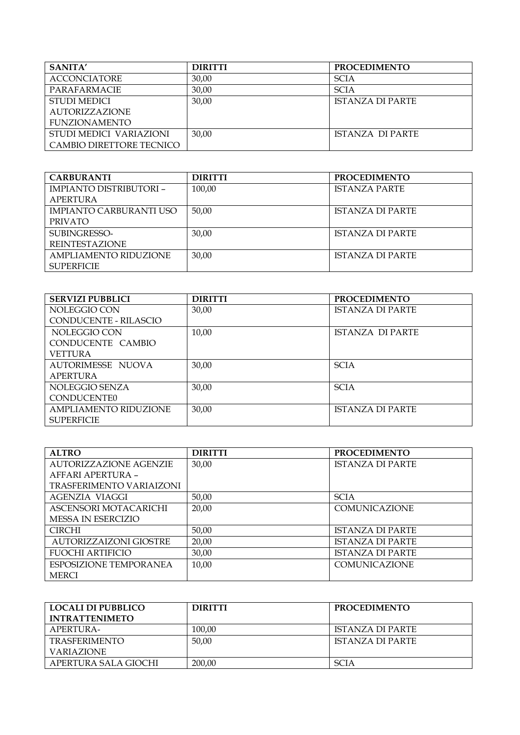| SANITA'                  | <b>DIRITTI</b> | <b>PROCEDIMENTO</b>     |
|--------------------------|----------------|-------------------------|
| <b>ACCONCIATORE</b>      | 30,00          | <b>SCIA</b>             |
| PARAFARMACIE             | 30,00          | <b>SCIA</b>             |
| <b>STUDI MEDICI</b>      | 30,00          | <b>ISTANZA DI PARTE</b> |
| <b>AUTORIZZAZIONE</b>    |                |                         |
| <b>FUNZIONAMENTO</b>     |                |                         |
| STUDI MEDICI VARIAZIONI  | 30,00          | ISTANZA DI PARTE        |
| CAMBIO DIRETTORE TECNICO |                |                         |

| <b>CARBURANTI</b>              | <b>DIRITTI</b> | <b>PROCEDIMENTO</b>     |
|--------------------------------|----------------|-------------------------|
| <b>IMPIANTO DISTRIBUTORI -</b> | 100,00         | <b>ISTANZA PARTE</b>    |
| APERTURA                       |                |                         |
| <b>IMPIANTO CARBURANTI USO</b> | 50,00          | ISTANZA DI PARTE        |
| PRIVATO                        |                |                         |
| SUBINGRESSO-                   | 30,00          | <b>ISTANZA DI PARTE</b> |
| <b>REINTESTAZIONE</b>          |                |                         |
| AMPLIAMENTO RIDUZIONE          | 30,00          | <b>ISTANZA DI PARTE</b> |
| <b>SUPERFICIE</b>              |                |                         |

| <b>SERVIZI PUBBLICI</b>      | <b>DIRITTI</b> | <b>PROCEDIMENTO</b>     |
|------------------------------|----------------|-------------------------|
| NOLEGGIO CON                 | 30,00          | <b>ISTANZA DI PARTE</b> |
| <b>CONDUCENTE - RILASCIO</b> |                |                         |
| NOLEGGIO CON                 | 10,00          | <b>ISTANZA DI PARTE</b> |
| CONDUCENTE CAMBIO            |                |                         |
| VETTURA                      |                |                         |
| <b>AUTORIMESSE NUOVA</b>     | 30,00          | <b>SCIA</b>             |
| APERTURA                     |                |                         |
| NOLEGGIO SENZA               | 30,00          | <b>SCIA</b>             |
| <b>CONDUCENTE0</b>           |                |                         |
| <b>AMPLIAMENTO RIDUZIONE</b> | 30,00          | <b>ISTANZA DI PARTE</b> |
| <b>SUPERFICIE</b>            |                |                         |

| <b>ALTRO</b>                    | <b>DIRITTI</b> | <b>PROCEDIMENTO</b>     |
|---------------------------------|----------------|-------------------------|
| <b>AUTORIZZAZIONE AGENZIE</b>   | 30,00          | <b>ISTANZA DI PARTE</b> |
| AFFARI APERTURA -               |                |                         |
| <b>TRASFERIMENTO VARIAIZONI</b> |                |                         |
| AGENZIA VIAGGI                  | 50,00          | <b>SCIA</b>             |
| ASCENSORI MOTACARICHI           | 20,00          | <b>COMUNICAZIONE</b>    |
| <b>MESSA IN ESERCIZIO</b>       |                |                         |
| <b>CIRCHI</b>                   | 50,00          | <b>ISTANZA DI PARTE</b> |
| <b>AUTORIZZAIZONI GIOSTRE</b>   | 20,00          | <b>ISTANZA DI PARTE</b> |
| <b>FUOCHI ARTIFICIO</b>         | 30,00          | <b>ISTANZA DI PARTE</b> |
| ESPOSIZIONE TEMPORANEA          | 10,00          | <b>COMUNICAZIONE</b>    |
| <b>MERCI</b>                    |                |                         |

| LOCALI DI PUBBLICO<br><b>INTRATTENIMETO</b> | <b>DIRITTI</b> | <b>PROCEDIMENTO</b>     |
|---------------------------------------------|----------------|-------------------------|
| APERTURA-                                   | 100,00         | <b>ISTANZA DI PARTE</b> |
| <b>TRASFERIMENTO</b>                        | 50.00          | ISTANZA DI PARTE        |
| <b>VARIAZIONE</b>                           |                |                         |
| APERTURA SALA GIOCHI                        | 200,00         | <b>SCIA</b>             |